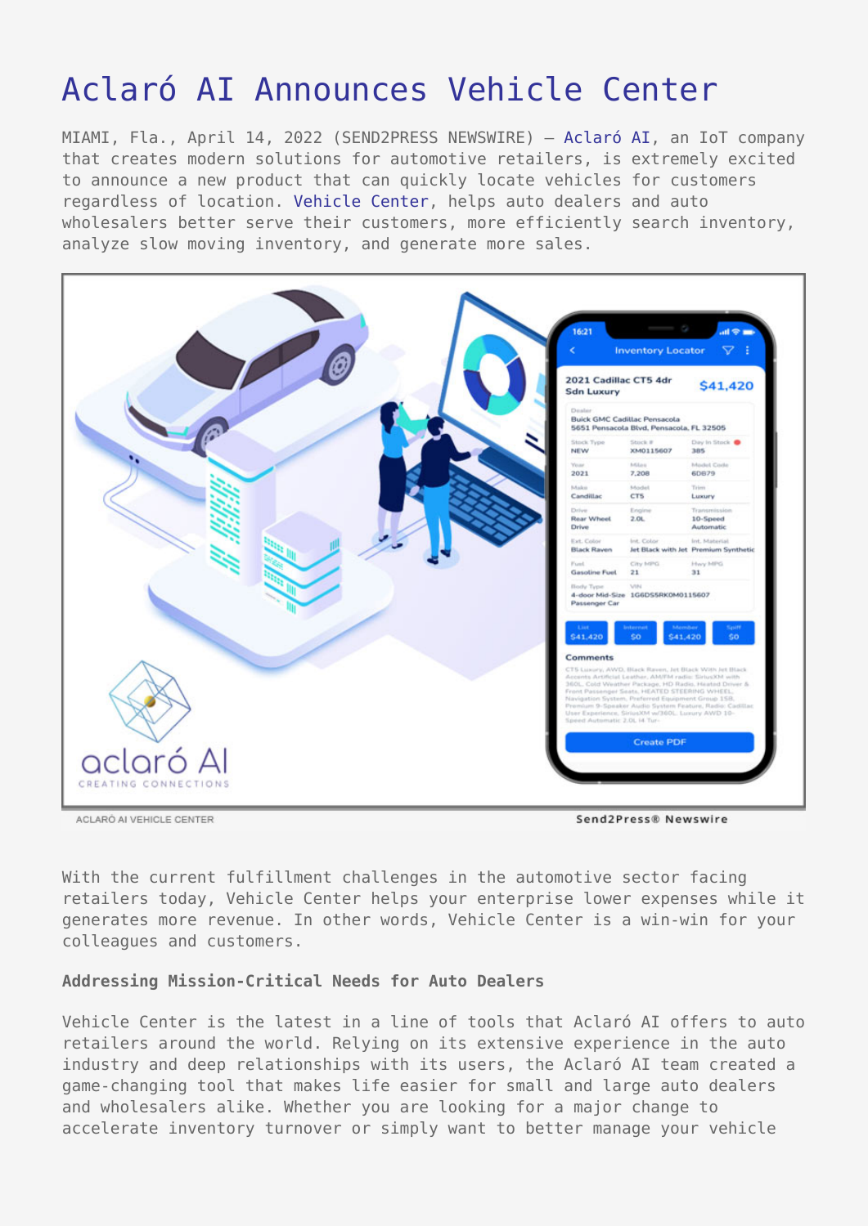# [Aclaró AI Announces Vehicle Center](https://www.send2press.com/wire/aclaro-ai-announces-vehicle-center/)

MIAMI, Fla., April 14, 2022 (SEND2PRESS NEWSWIRE) — [Aclaró AI](http://aclaro.ai), an IoT company that creates modern solutions for automotive retailers, is extremely excited to announce a new product that can quickly locate vehicles for customers regardless of location. [Vehicle Center](https://aclaro.ac-page.com/vehicle-center-v1), helps auto dealers and auto wholesalers better serve their customers, more efficiently search inventory, analyze slow moving inventory, and generate more sales.



With the current fulfillment challenges in the automotive sector facing retailers today, Vehicle Center helps your enterprise lower expenses while it generates more revenue. In other words, Vehicle Center is a win-win for your colleagues and customers.

## **Addressing Mission-Critical Needs for Auto Dealers**

Vehicle Center is the latest in a line of tools that Aclaró AI offers to auto retailers around the world. Relying on its extensive experience in the auto industry and deep relationships with its users, the Aclaró AI team created a game-changing tool that makes life easier for small and large auto dealers and wholesalers alike. Whether you are looking for a major change to accelerate inventory turnover or simply want to better manage your vehicle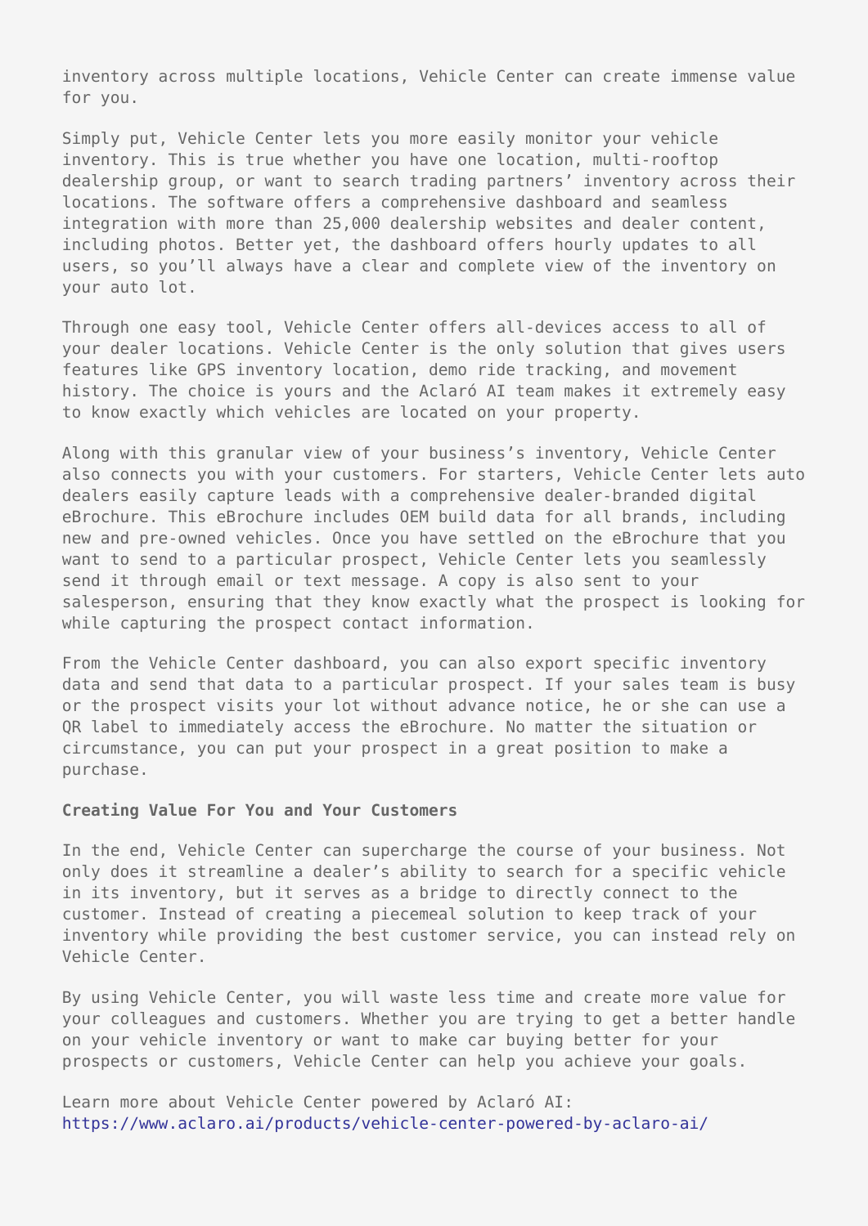inventory across multiple locations, Vehicle Center can create immense value for you.

Simply put, Vehicle Center lets you more easily monitor your vehicle inventory. This is true whether you have one location, multi-rooftop dealership group, or want to search trading partners' inventory across their locations. The software offers a comprehensive dashboard and seamless integration with more than 25,000 dealership websites and dealer content, including photos. Better yet, the dashboard offers hourly updates to all users, so you'll always have a clear and complete view of the inventory on your auto lot.

Through one easy tool, Vehicle Center offers all-devices access to all of your dealer locations. Vehicle Center is the only solution that gives users features like GPS inventory location, demo ride tracking, and movement history. The choice is yours and the Aclaró AI team makes it extremely easy to know exactly which vehicles are located on your property.

Along with this granular view of your business's inventory, Vehicle Center also connects you with your customers. For starters, Vehicle Center lets auto dealers easily capture leads with a comprehensive dealer-branded digital eBrochure. This eBrochure includes OEM build data for all brands, including new and pre-owned vehicles. Once you have settled on the eBrochure that you want to send to a particular prospect, Vehicle Center lets you seamlessly send it through email or text message. A copy is also sent to your salesperson, ensuring that they know exactly what the prospect is looking for while capturing the prospect contact information.

From the Vehicle Center dashboard, you can also export specific inventory data and send that data to a particular prospect. If your sales team is busy or the prospect visits your lot without advance notice, he or she can use a QR label to immediately access the eBrochure. No matter the situation or circumstance, you can put your prospect in a great position to make a purchase.

#### **Creating Value For You and Your Customers**

In the end, Vehicle Center can supercharge the course of your business. Not only does it streamline a dealer's ability to search for a specific vehicle in its inventory, but it serves as a bridge to directly connect to the customer. Instead of creating a piecemeal solution to keep track of your inventory while providing the best customer service, you can instead rely on Vehicle Center.

By using Vehicle Center, you will waste less time and create more value for your colleagues and customers. Whether you are trying to get a better handle on your vehicle inventory or want to make car buying better for your prospects or customers, Vehicle Center can help you achieve your goals.

Learn more about Vehicle Center powered by Aclaró AI: <https://www.aclaro.ai/products/vehicle-center-powered-by-aclaro-ai/>